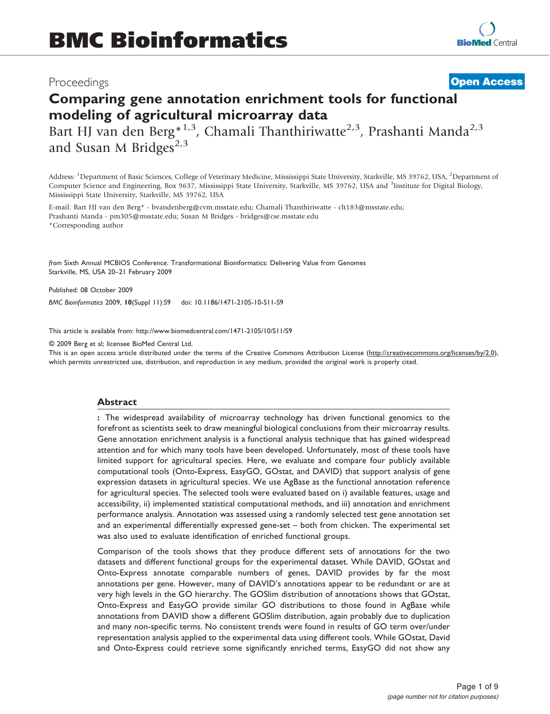## Proceedings

# **[Open Access](http://www.biomedcentral.com/info/about/charter/)**

# Comparing gene annotation enrichment tools for functional modeling of agricultural microarray data

Bart HJ van den Berg<sup>\*1,3</sup>, Chamali Thanthiriwatte<sup>2,3</sup>, Prashanti Manda<sup>2,3</sup> and Susan M Bridges<sup>2,3</sup>

Address: <sup>1</sup>Department of Basic Sciences, College of Veterinary Medicine, Mississippi State University, Starkville, MS 39762, USA, <sup>2</sup>Department of Computer Science and Engineering, Box 9637, Mississippi State University, Starkville, MS 39762, USA and <sup>3</sup>Institute for Digital Biology, Mississippi State University, Starkville, MS 39762, USA

E-mail: Bart HJ van den Berg\* - [bvandenberg@cvm.msstate.edu](mailto:bvandenberg@cvm.msstate.edu); Chamali Thanthiriwatte - [clt183@msstate.edu;](mailto:clt183@msstate.edu) Prashanti Manda - [pm305@msstate.edu](mailto:pm305@msstate.edu); Susan M Bridges - [bridges@cse.msstate.edu](mailto:bridges@cse.msstate.edu) \*Corresponding author

from Sixth Annual MCBIOS Conference. Transformational Bioinformatics: Delivering Value from Genomes Starkville, MS, USA 20–21 February 2009

Published: 08 October 2009

BMC Bioinformatics 2009, 10(Suppl 11):S9 doi: 10.1186/1471-2105-10-S11-S9

This article is available from: http://www.biomedcentral.com/1471-2105/10/S11/S9

© 2009 Berg et al; licensee BioMed Central Ltd.

This is an open access article distributed under the terms of the Creative Commons Attribution License [\(http://creativecommons.org/licenses/by/2.0\)](http://creativecommons.org/licenses/by/2.0), which permits unrestricted use, distribution, and reproduction in any medium, provided the original work is properly cited.

#### Abstract

: The widespread availability of microarray technology has driven functional genomics to the forefront as scientists seek to draw meaningful biological conclusions from their microarray results. Gene annotation enrichment analysis is a functional analysis technique that has gained widespread attention and for which many tools have been developed. Unfortunately, most of these tools have limited support for agricultural species. Here, we evaluate and compare four publicly available computational tools (Onto-Express, EasyGO, GOstat, and DAVID) that support analysis of gene expression datasets in agricultural species. We use AgBase as the functional annotation reference for agricultural species. The selected tools were evaluated based on i) available features, usage and accessibility, ii) implemented statistical computational methods, and iii) annotation and enrichment performance analysis. Annotation was assessed using a randomly selected test gene annotation set and an experimental differentially expressed gene-set – both from chicken. The experimental set was also used to evaluate identification of enriched functional groups.

Comparison of the tools shows that they produce different sets of annotations for the two datasets and different functional groups for the experimental dataset. While DAVID, GOstat and Onto-Express annotate comparable numbers of genes, DAVID provides by far the most annotations per gene. However, many of DAVID's annotations appear to be redundant or are at very high levels in the GO hierarchy. The GOSlim distribution of annotations shows that GOstat, Onto-Express and EasyGO provide similar GO distributions to those found in AgBase while annotations from DAVID show a different GOSlim distribution, again probably due to duplication and many non-specific terms. No consistent trends were found in results of GO term over/under representation analysis applied to the experimental data using different tools. While GOstat, David and Onto-Express could retrieve some significantly enriched terms, EasyGO did not show any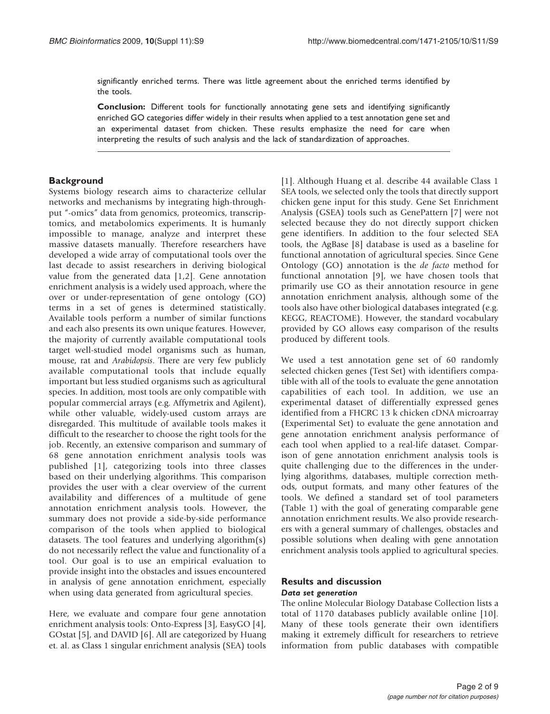significantly enriched terms. There was little agreement about the enriched terms identified by the tools.

Conclusion: Different tools for functionally annotating gene sets and identifying significantly enriched GO categories differ widely in their results when applied to a test annotation gene set and an experimental dataset from chicken. These results emphasize the need for care when interpreting the results of such analysis and the lack of standardization of approaches.

### **Background**

Systems biology research aims to characterize cellular networks and mechanisms by integrating high-throughput "-omics" data from genomics, proteomics, transcriptomics, and metabolomics experiments. It is humanly impossible to manage, analyze and interpret these massive datasets manually. Therefore researchers have developed a wide array of computational tools over the last decade to assist researchers in deriving biological value from the generated data [\[1,2\]](#page-8-0). Gene annotation enrichment analysis is a widely used approach, where the over or under-representation of gene ontology (GO) terms in a set of genes is determined statistically. Available tools perform a number of similar functions and each also presents its own unique features. However, the majority of currently available computational tools target well-studied model organisms such as human, mouse, rat and Arabidopsis. There are very few publicly available computational tools that include equally important but less studied organisms such as agricultural species. In addition, most tools are only compatible with popular commercial arrays (e.g. Affymetrix and Agilent), while other valuable, widely-used custom arrays are disregarded. This multitude of available tools makes it difficult to the researcher to choose the right tools for the job. Recently, an extensive comparison and summary of 68 gene annotation enrichment analysis tools was published [[1](#page-8-0)], categorizing tools into three classes based on their underlying algorithms. This comparison provides the user with a clear overview of the current availability and differences of a multitude of gene annotation enrichment analysis tools. However, the summary does not provide a side-by-side performance comparison of the tools when applied to biological datasets. The tool features and underlying algorithm(s) do not necessarily reflect the value and functionality of a tool. Our goal is to use an empirical evaluation to provide insight into the obstacles and issues encountered in analysis of gene annotation enrichment, especially when using data generated from agricultural species.

Here, we evaluate and compare four gene annotation enrichment analysis tools: Onto-Express [[3\]](#page-8-0), EasyGO [[4](#page-8-0)], GOstat [\[5\]](#page-8-0), and DAVID [\[6\]](#page-8-0). All are categorized by Huang et. al. as Class 1 singular enrichment analysis (SEA) tools [[1](#page-8-0)]. Although Huang et al. describe 44 available Class 1 SEA tools, we selected only the tools that directly support chicken gene input for this study. Gene Set Enrichment Analysis (GSEA) tools such as GenePattern [\[7](#page-8-0)] were not selected because they do not directly support chicken gene identifiers. In addition to the four selected SEA tools, the AgBase [[8](#page-8-0)] database is used as a baseline for functional annotation of agricultural species. Since Gene Ontology (GO) annotation is the de facto method for functional annotation [[9](#page-8-0)], we have chosen tools that primarily use GO as their annotation resource in gene annotation enrichment analysis, although some of the tools also have other biological databases integrated (e.g. KEGG, REACTOME). However, the standard vocabulary provided by GO allows easy comparison of the results produced by different tools.

We used a test annotation gene set of 60 randomly selected chicken genes (Test Set) with identifiers compatible with all of the tools to evaluate the gene annotation capabilities of each tool. In addition, we use an experimental dataset of differentially expressed genes identified from a FHCRC 13 k chicken cDNA microarray (Experimental Set) to evaluate the gene annotation and gene annotation enrichment analysis performance of each tool when applied to a real-life dataset. Comparison of gene annotation enrichment analysis tools is quite challenging due to the differences in the underlying algorithms, databases, multiple correction methods, output formats, and many other features of the tools. We defined a standard set of tool parameters [\(Table 1\)](#page-2-0) with the goal of generating comparable gene annotation enrichment results. We also provide researchers with a general summary of challenges, obstacles and possible solutions when dealing with gene annotation enrichment analysis tools applied to agricultural species.

### Results and discussion Data set generation

The online Molecular Biology Database Collection lists a total of 1170 databases publicly available online [\[10](#page-8-0)]. Many of these tools generate their own identifiers making it extremely difficult for researchers to retrieve information from public databases with compatible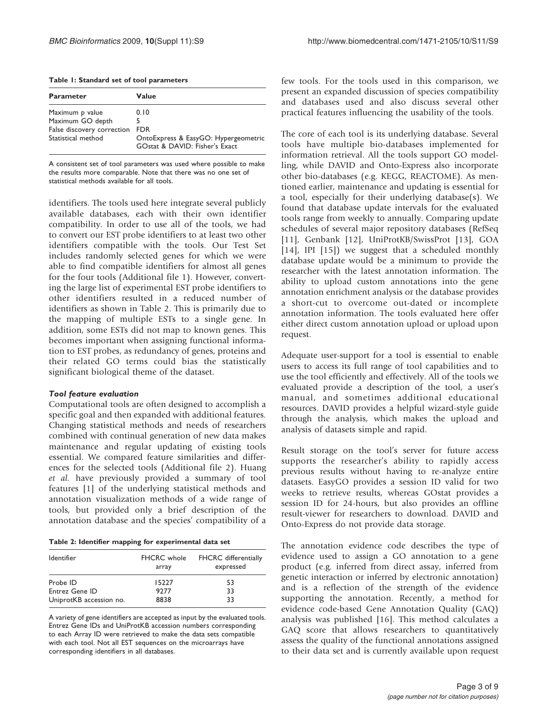<span id="page-2-0"></span>Table 1: Standard set of tool parameters

| <b>Parameter</b>           | Value                                     |
|----------------------------|-------------------------------------------|
| Maximum p value            | 0.10                                      |
| Maximum GO depth           | <b>FDR</b>                                |
| False discovery correction | OntoExpress & EasyGO: Hypergeometric      |
| Statistical method         | <b>GOstat &amp; DAVID: Fisher's Exact</b> |

A consistent set of tool parameters was used where possible to make the results more comparable. Note that there was no one set of statistical methods available for all tools.

identifiers. The tools used here integrate several publicly available databases, each with their own identifier compatibility. In order to use all of the tools, we had to convert our EST probe identifiers to at least two other identifiers compatible with the tools. Our Test Set includes randomly selected genes for which we were able to find compatible identifiers for almost all genes for the four tools (Additional file [1](#page-7-0)). However, converting the large list of experimental EST probe identifiers to other identifiers resulted in a reduced number of identifiers as shown in Table 2. This is primarily due to the mapping of multiple ESTs to a single gene. In addition, some ESTs did not map to known genes. This becomes important when assigning functional information to EST probes, as redundancy of genes, proteins and their related GO terms could bias the statistically significant biological theme of the dataset.

### Tool feature evaluation

Computational tools are often designed to accomplish a specific goal and then expanded with additional features. Changing statistical methods and needs of researchers combined with continual generation of new data makes maintenance and regular updating of existing tools essential. We compared feature similarities and differences for the selected tools (Additional file 2). Huang et al. have previously provided a summary of tool features [[1](#page-8-0)] of the underlying statistical methods and annotation visualization methods of a wide range of tools, but provided only a brief description of the annotation database and the species' compatibility of a

|  |  | Table 2: Identifier mapping for experimental data set |  |
|--|--|-------------------------------------------------------|--|
|--|--|-------------------------------------------------------|--|

| Identifier              | <b>FHCRC</b> whole<br>array | <b>FHCRC</b> differentially<br>expressed |
|-------------------------|-----------------------------|------------------------------------------|
| Probe ID                | 15227                       | 53                                       |
| Entrez Gene ID          | 9277                        | 33                                       |
| UniprotKB accession no. | 8838                        | 33                                       |

A variety of gene identifiers are accepted as input by the evaluated tools. Entrez Gene IDs and UniProtKB accession numbers corresponding to each Array ID were retrieved to make the data sets compatible with each tool. Not all EST sequences on the microarrays have corresponding identifiers in all databases.

few tools. For the tools used in this comparison, we present an expanded discussion of species compatibility and databases used and also discuss several other practical features influencing the usability of the tools.

The core of each tool is its underlying database. Several tools have multiple bio-databases implemented for information retrieval. All the tools support GO modelling, while DAVID and Onto-Express also incorporate other bio-databases (e.g. KEGG, REACTOME). As mentioned earlier, maintenance and updating is essential for a tool, especially for their underlying database(s). We found that database update intervals for the evaluated tools range from weekly to annually. Comparing update schedules of several major repository databases (RefSeq [[11](#page-8-0)], Genbank [[12](#page-8-0)], UniProtKB/SwissProt [[13\]](#page-8-0), GOA [[14](#page-8-0)], IPI [[15\]](#page-8-0)) we suggest that a scheduled monthly database update would be a minimum to provide the researcher with the latest annotation information. The ability to upload custom annotations into the gene annotation enrichment analysis or the database provides a short-cut to overcome out-dated or incomplete annotation information. The tools evaluated here offer either direct custom annotation upload or upload upon request.

Adequate user-support for a tool is essential to enable users to access its full range of tool capabilities and to use the tool efficiently and effectively. All of the tools we evaluated provide a description of the tool, a user's manual, and sometimes additional educational resources. DAVID provides a helpful wizard-style guide through the analysis, which makes the upload and analysis of datasets simple and rapid.

Result storage on the tool's server for future access supports the researcher's ability to rapidly access previous results without having to re-analyze entire datasets. EasyGO provides a session ID valid for two weeks to retrieve results, whereas GOstat provides a session ID for 24-hours, but also provides an offline result-viewer for researchers to download. DAVID and Onto-Express do not provide data storage.

The annotation evidence code describes the type of evidence used to assign a GO annotation to a gene product (e.g. inferred from direct assay, inferred from genetic interaction or inferred by electronic annotation) and is a reflection of the strength of the evidence supporting the annotation. Recently, a method for evidence code-based Gene Annotation Quality (GAQ) analysis was published [\[16](#page-8-0)]. This method calculates a GAQ score that allows researchers to quantitatively assess the quality of the functional annotations assigned to their data set and is currently available upon request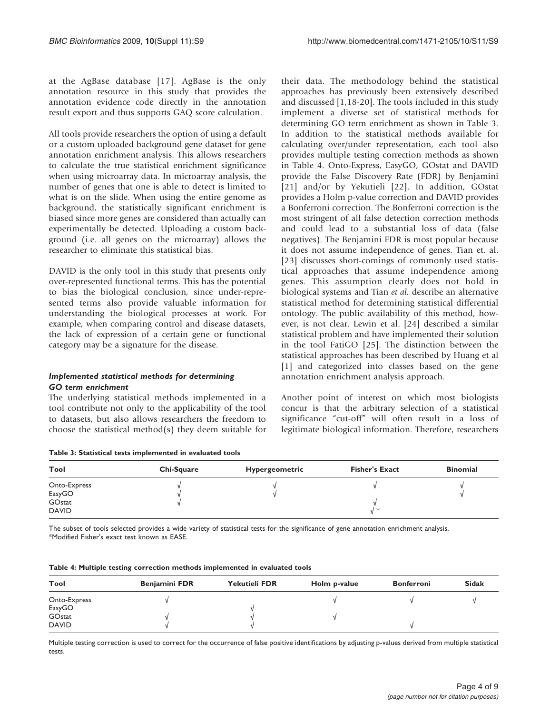<span id="page-3-0"></span>at the AgBase database [[17](#page-8-0)]. AgBase is the only annotation resource in this study that provides the annotation evidence code directly in the annotation result export and thus supports GAQ score calculation.

All tools provide researchers the option of using a default or a custom uploaded background gene dataset for gene annotation enrichment analysis. This allows researchers to calculate the true statistical enrichment significance when using microarray data. In microarray analysis, the number of genes that one is able to detect is limited to what is on the slide. When using the entire genome as background, the statistically significant enrichment is biased since more genes are considered than actually can experimentally be detected. Uploading a custom background (i.e. all genes on the microarray) allows the researcher to eliminate this statistical bias.

DAVID is the only tool in this study that presents only over-represented functional terms. This has the potential to bias the biological conclusion, since under-represented terms also provide valuable information for understanding the biological processes at work. For example, when comparing control and disease datasets, the lack of expression of a certain gene or functional category may be a signature for the disease.

### Implemented statistical methods for determining GO term enrichment

The underlying statistical methods implemented in a tool contribute not only to the applicability of the tool to datasets, but also allows researchers the freedom to choose the statistical method(s) they deem suitable for

Table 3: Statistical tests implemented in evaluated tools

their data. The methodology behind the statistical approaches has previously been extensively described and discussed [[1,18-20](#page-8-0)]. The tools included in this study implement a diverse set of statistical methods for determining GO term enrichment as shown in Table 3. In addition to the statistical methods available for calculating over/under representation, each tool also provides multiple testing correction methods as shown in Table 4. Onto-Express, EasyGO, GOstat and DAVID provide the False Discovery Rate (FDR) by Benjamini [[21\]](#page-8-0) and/or by Yekutieli [\[22](#page-8-0)]. In addition, GOstat provides a Holm p-value correction and DAVID provides a Bonferroni correction. The Bonferroni correction is the most stringent of all false detection correction methods and could lead to a substantial loss of data (false negatives). The Benjamini FDR is most popular because it does not assume independence of genes. Tian et. al. [[23](#page-8-0)] discusses short-comings of commonly used statistical approaches that assume independence among genes. This assumption clearly does not hold in biological systems and Tian et al. describe an alternative statistical method for determining statistical differential ontology. The public availability of this method, however, is not clear. Lewin et al. [[24\]](#page-8-0) described a similar statistical problem and have implemented their solution in the tool FatiGO [[25\]](#page-8-0). The distinction between the statistical approaches has been described by Huang et al [[1](#page-8-0)] and categorized into classes based on the gene annotation enrichment analysis approach.

Another point of interest on which most biologists concur is that the arbitrary selection of a statistical significance "cut-off" will often result in a loss of legitimate biological information. Therefore, researchers

| Tool         | Chi-Square | <b>Hypergeometric</b> | <b>Fisher's Exact</b> | <b>Binomial</b> |
|--------------|------------|-----------------------|-----------------------|-----------------|
| Onto-Express |            |                       |                       |                 |
| EasyGO       |            |                       |                       |                 |
| GOstat       |            |                       |                       |                 |
| <b>DAVID</b> |            |                       | ∗<br>$\mathbf{1}$     |                 |

The subset of tools selected provides a wide variety of statistical tests for the significance of gene annotation enrichment analysis. \*Modified Fisher's exact test known as EASE.

|  | Table 4: Multiple testing correction methods implemented in evaluated tools |  |  |  |
|--|-----------------------------------------------------------------------------|--|--|--|
|  |                                                                             |  |  |  |

| Tool                   | <b>Benjamini FDR</b> | <b>Yekutieli FDR</b> | Holm p-value | <b>Bonferroni</b> | <b>Sidak</b> |
|------------------------|----------------------|----------------------|--------------|-------------------|--------------|
| Onto-Express<br>EasyGO |                      |                      |              |                   |              |
| GOstat<br><b>DAVID</b> |                      |                      |              |                   |              |

Multiple testing correction is used to correct for the occurrence of false positive identifications by adjusting p-values derived from multiple statistical tests.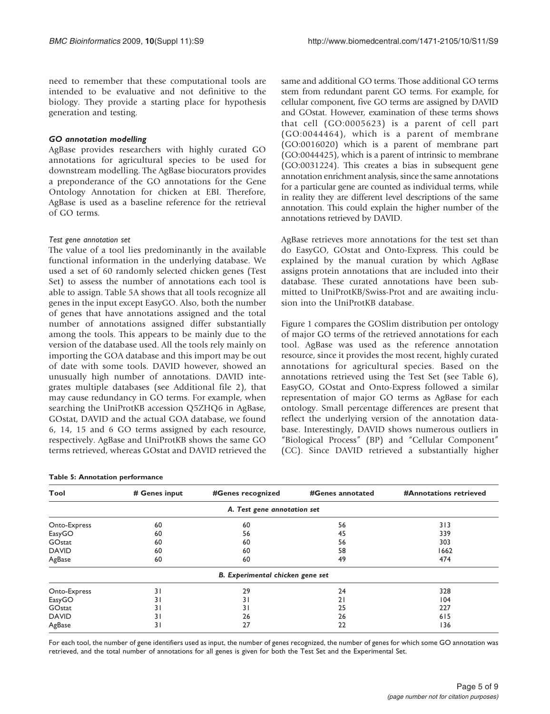<span id="page-4-0"></span>need to remember that these computational tools are intended to be evaluative and not definitive to the biology. They provide a starting place for hypothesis generation and testing.

#### GO annotation modelling

AgBase provides researchers with highly curated GO annotations for agricultural species to be used for downstream modelling. The AgBase biocurators provides a preponderance of the GO annotations for the Gene Ontology Annotation for chicken at EBI. Therefore, AgBase is used as a baseline reference for the retrieval of  $CO$  terms.

#### Test gene annotation set

The value of a tool lies predominantly in the available functional information in the underlying database. We used a set of 60 randomly selected chicken genes (Test Set) to assess the number of annotations each tool is able to assign. Table 5A shows that all tools recognize all genes in the input except EasyGO. Also, both the number of genes that have annotations assigned and the total number of annotations assigned differ substantially among the tools. This appears to be mainly due to the version of the database used. All the tools rely mainly on importing the GOA database and this import may be out of date with some tools. DAVID however, showed an unusually high number of annotations. DAVID integrates multiple databases (see Additional file 2), that may cause redundancy in GO terms. For example, when searching the UniProtKB accession Q5ZHQ6 in AgBase, GOstat, DAVID and the actual GOA database, we found 6, 14, 15 and 6 GO terms assigned by each resource, respectively. AgBase and UniProtKB shows the same GO terms retrieved, whereas GOstat and DAVID retrieved the

same and additional GO terms. Those additional GO terms stem from redundant parent GO terms. For example, for cellular component, five GO terms are assigned by DAVID and GOstat. However, examination of these terms shows that cell (GO:0005623) is a parent of cell part (GO:0044464), which is a parent of membrane (GO:0016020) which is a parent of membrane part (GO:0044425), which is a parent of intrinsic to membrane (GO:0031224). This creates a bias in subsequent gene annotation enrichment analysis, since the same annotations for a particular gene are counted as individual terms, while in reality they are different level descriptions of the same annotation. This could explain the higher number of the annotations retrieved by DAVID.

AgBase retrieves more annotations for the test set than do EasyGO, GOstat and Onto-Express. This could be explained by the manual curation by which AgBase assigns protein annotations that are included into their database. These curated annotations have been submitted to UniProtKB/Swiss-Prot and are awaiting inclusion into the UniProtKB database.

[Figure 1](#page-5-0) compares the GOSlim distribution per ontology of major GO terms of the retrieved annotations for each tool. AgBase was used as the reference annotation resource, since it provides the most recent, highly curated annotations for agricultural species. Based on the annotations retrieved using the Test Set (see [Table 6\)](#page-5-0), EasyGO, GOstat and Onto-Express followed a similar representation of major GO terms as AgBase for each ontology. Small percentage differences are present that reflect the underlying version of the annotation database. Interestingly, DAVID shows numerous outliers in "Biological Process" (BP) and "Cellular Component" (CC). Since DAVID retrieved a substantially higher

| Tool         | # Genes input | #Genes recognized                | #Genes annotated | <b>#Annotations retrieved</b> |
|--------------|---------------|----------------------------------|------------------|-------------------------------|
|              |               | A. Test gene annotation set      |                  |                               |
| Onto-Express | 60            | 60                               | 56               | 313                           |
| EasyGO       | 60            | 56                               | 45               | 339                           |
| GOstat       | 60            | 60                               | 56               | 303                           |
| <b>DAVID</b> | 60            | 60                               | 58               | 1662                          |
| AgBase       | 60            | 60                               | 49               | 474                           |
|              |               | B. Experimental chicken gene set |                  |                               |
| Onto-Express | 31            | 29                               | 24               | 328                           |
| EasyGO       | 31            | 31                               | 21               | 104                           |
| GOstat       | 31            | 31                               | 25               | 227                           |
| <b>DAVID</b> | 31            | 26                               | 26               | 615                           |
| AgBase       | 31            | 27                               | 22               | 136                           |

For each tool, the number of gene identifiers used as input, the number of genes recognized, the number of genes for which some GO annotation was retrieved, and the total number of annotations for all genes is given for both the Test Set and the Experimental Set.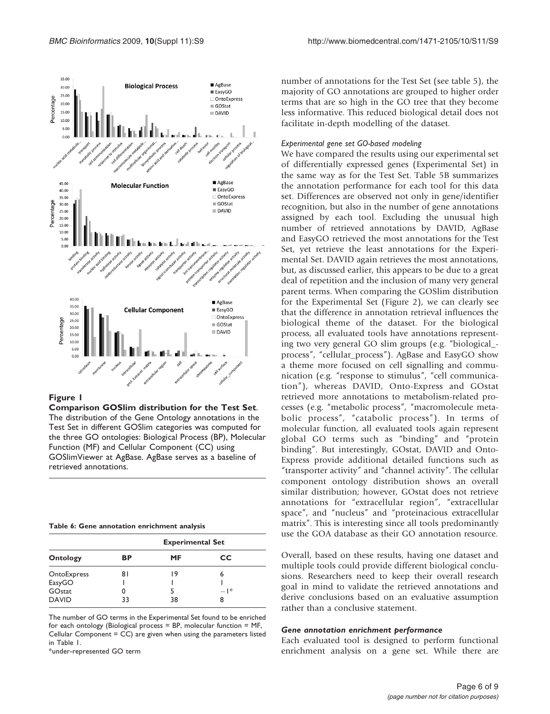<span id="page-5-0"></span>

#### Figure 1

Comparison GOSlim distribution for the Test Set. The distribution of the Gene Ontology annotations in the Test Set in different GOSlim categories was computed for the three GO ontologies: Biological Process (BP), Molecular Function (MF) and Cellular Component (CC) using GOSlimViewer at AgBase. AgBase serves as a baseline of retrieved annotations.

#### Table 6: Gene annotation enrichment analysis

|                 | <b>Experimental Set</b> |           |           |  |  |
|-----------------|-------------------------|-----------|-----------|--|--|
| <b>Ontology</b> | <b>BP</b>               | <b>MF</b> | <b>CC</b> |  |  |
| OntoExpress     | 81                      | 19        | 6         |  |  |
| EasyGO          |                         |           |           |  |  |
| GOstat          | 0                       |           | $-1*$     |  |  |
| <b>DAVID</b>    | 33                      | 38        | 8         |  |  |

The number of GO terms in the Experimental Set found to be enriched for each ontology (Biological process = BP, molecular function = MF, Cellular Component =  $CC$ ) are given when using the parameters listed in Table 1.

\*under-represented GO term

number of annotations for the Test Set (see table [5](#page-4-0)), the majority of GO annotations are grouped to higher order terms that are so high in the GO tree that they become less informative. This reduced biological detail does not facilitate in-depth modelling of the dataset.

#### Experimental gene set GO-based modeling

We have compared the results using our experimental set of differentially expressed genes (Experimental Set) in the same way as for the Test Set. [Table 5B](#page-4-0) summarizes the annotation performance for each tool for this data set. Differences are observed not only in gene/identifier recognition, but also in the number of gene annotations assigned by each tool. Excluding the unusual high number of retrieved annotations by DAVID, AgBase and EasyGO retrieved the most annotations for the Test Set, yet retrieve the least annotations for the Experimental Set. DAVID again retrieves the most annotations, but, as discussed earlier, this appears to be due to a great deal of repetition and the inclusion of many very general parent terms. When comparing the GOSlim distribution for the Experimental Set [\(Figure 2](#page-6-0)), we can clearly see that the difference in annotation retrieval influences the biological theme of the dataset. For the biological process, all evaluated tools have annotations representing two very general GO slim groups (e.g. "biological\_ process", "cellular\_process"). AgBase and EasyGO show a theme more focused on cell signalling and communication (e.g. "response to stimulus", "cell communication"), whereas DAVID, Onto-Express and GOstat retrieved more annotations to metabolism-related processes (e.g. "metabolic process", "macromolecule metabolic process", "catabolic process"). In terms of molecular function, all evaluated tools again represent global GO terms such as "binding" and "protein binding". But interestingly, GOstat, DAVID and Onto-Express provide additional detailed functions such as "transporter activity" and "channel activity". The cellular component ontology distribution shows an overall similar distribution; however, GOstat does not retrieve annotations for "extracellular region", "extracellular space", and "nucleus" and "proteinacious extracellular matrix". This is interesting since all tools predominantly use the GOA database as their GO annotation resource.

Overall, based on these results, having one dataset and multiple tools could provide different biological conclusions. Researchers need to keep their overall research goal in mind to validate the retrieved annotations and derive conclusions based on an evaluative assumption rather than a conclusive statement.

#### Gene annotation enrichment performance

Each evaluated tool is designed to perform functional enrichment analysis on a gene set. While there are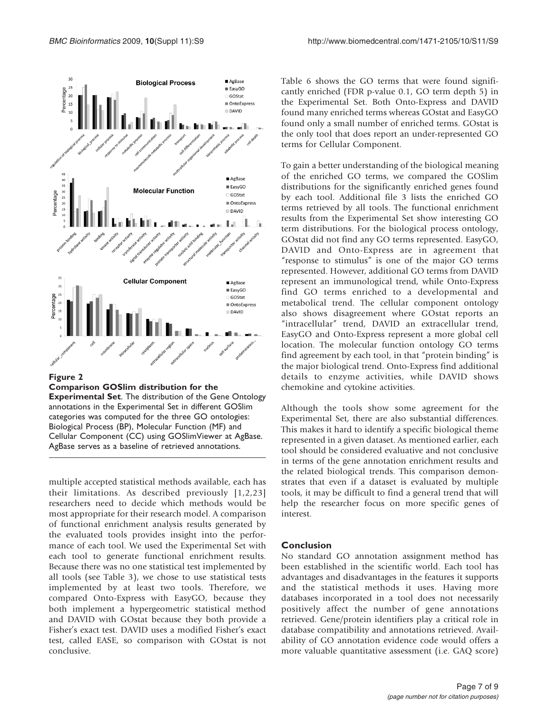<span id="page-6-0"></span>

### Figure 2

Comparison GOSlim distribution for the Experimental Set. The distribution of the Gene Ontology annotations in the Experimental Set in different GOSlim categories was computed for the three GO ontologies: Biological Process (BP), Molecular Function (MF) and Cellular Component (CC) using GOSlimViewer at AgBase. AgBase serves as a baseline of retrieved annotations.

multiple accepted statistical methods available, each has their limitations. As described previously [[1](#page-8-0),[2,23\]](#page-8-0) researchers need to decide which methods would be most appropriate for their research model. A comparison of functional enrichment analysis results generated by the evaluated tools provides insight into the performance of each tool. We used the Experimental Set with each tool to generate functional enrichment results. Because there was no one statistical test implemented by all tools (see [Table 3\)](#page-3-0), we chose to use statistical tests implemented by at least two tools. Therefore, we compared Onto-Express with EasyGO, because they both implement a hypergeometric statistical method and DAVID with GOstat because they both provide a Fisher's exact test. DAVID uses a modified Fisher's exact test, called EASE, so comparison with GOstat is not conclusive.

[Table 6](#page-5-0) shows the GO terms that were found significantly enriched (FDR p-value 0.1, GO term depth 5) in the Experimental Set. Both Onto-Express and DAVID found many enriched terms whereas GOstat and EasyGO found only a small number of enriched terms. GOstat is the only tool that does report an under-represented GO terms for Cellular Component.

To gain a better understanding of the biological meaning of the enriched GO terms, we compared the GOSlim distributions for the significantly enriched genes found by each tool. Additional file 3 lists the enriched GO terms retrieved by all tools. The functional enrichment results from the Experimental Set show interesting GO term distributions. For the biological process ontology, GOstat did not find any GO terms represented. EasyGO, DAVID and Onto-Express are in agreement that "response to stimulus" is one of the major GO terms represented. However, additional GO terms from DAVID represent an immunological trend, while Onto-Express find GO terms enriched to a developmental and metabolical trend. The cellular component ontology also shows disagreement where GOstat reports an "intracellular" trend, DAVID an extracellular trend, EasyGO and Onto-Express represent a more global cell location. The molecular function ontology GO terms find agreement by each tool, in that "protein binding" is the major biological trend. Onto-Express find additional details to enzyme activities, while DAVID shows chemokine and cytokine activities.

Although the tools show some agreement for the Experimental Set, there are also substantial differences. This makes it hard to identify a specific biological theme represented in a given dataset. As mentioned earlier, each tool should be considered evaluative and not conclusive in terms of the gene annotation enrichment results and the related biological trends. This comparison demonstrates that even if a dataset is evaluated by multiple tools, it may be difficult to find a general trend that will help the researcher focus on more specific genes of interest.

### Conclusion

No standard GO annotation assignment method has been established in the scientific world. Each tool has advantages and disadvantages in the features it supports and the statistical methods it uses. Having more databases incorporated in a tool does not necessarily positively affect the number of gene annotations retrieved. Gene/protein identifiers play a critical role in database compatibility and annotations retrieved. Availability of GO annotation evidence code would offers a more valuable quantitative assessment (i.e. GAQ score)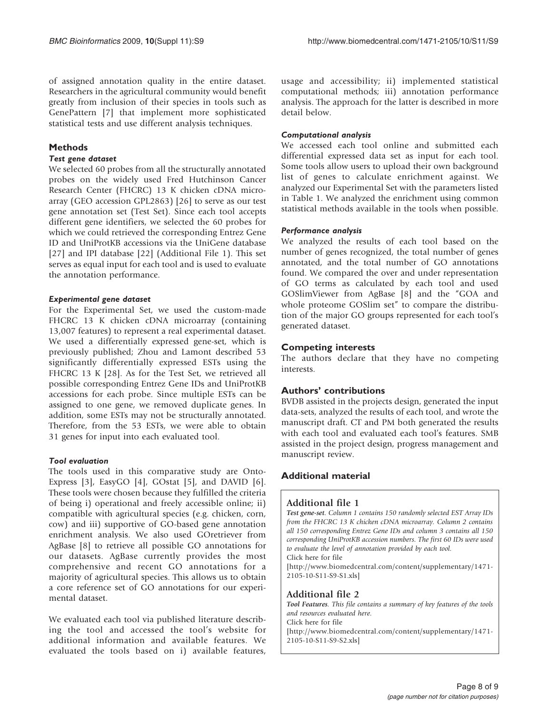<span id="page-7-0"></span>of assigned annotation quality in the entire dataset. Researchers in the agricultural community would benefit greatly from inclusion of their species in tools such as GenePattern [\[7\]](#page-8-0) that implement more sophisticated statistical tests and use different analysis techniques.

### **Methods**

### Test gene dataset

We selected 60 probes from all the structurally annotated probes on the widely used Fred Hutchinson Cancer Research Center (FHCRC) 13 K chicken cDNA microarray (GEO accession GPL2863) [[26](#page-8-0)] to serve as our test gene annotation set (Test Set). Since each tool accepts different gene identifiers, we selected the 60 probes for which we could retrieved the corresponding Entrez Gene ID and UniProtKB accessions via the UniGene database [[27\]](#page-8-0) and IPI database [[22\]](#page-8-0) (Additional File 1). This set serves as equal input for each tool and is used to evaluate the annotation performance.

### Experimental gene dataset

For the Experimental Set, we used the custom-made FHCRC 13 K chicken cDNA microarray (containing 13,007 features) to represent a real experimental dataset. We used a differentially expressed gene-set, which is previously published; Zhou and Lamont described 53 significantly differentially expressed ESTs using the FHCRC 13 K [[28\]](#page-8-0). As for the Test Set, we retrieved all possible corresponding Entrez Gene IDs and UniProtKB accessions for each probe. Since multiple ESTs can be assigned to one gene, we removed duplicate genes. In addition, some ESTs may not be structurally annotated. Therefore, from the 53 ESTs, we were able to obtain 31 genes for input into each evaluated tool.

### Tool evaluation

The tools used in this comparative study are Onto-Express  $[3]$  $[3]$  $[3]$ , EasyGO  $[4]$  $[4]$  $[4]$ , GOstat  $[5]$ , and DAVID  $[6]$  $[6]$  $[6]$ . These tools were chosen because they fulfilled the criteria of being i) operational and freely accessible online; ii) compatible with agricultural species (e.g. chicken, corn, cow) and iii) supportive of GO-based gene annotation enrichment analysis. We also used GOretriever from AgBase [[8](#page-8-0)] to retrieve all possible GO annotations for our datasets. AgBase currently provides the most comprehensive and recent GO annotations for a majority of agricultural species. This allows us to obtain a core reference set of GO annotations for our experimental dataset.

We evaluated each tool via published literature describing the tool and accessed the tool's website for additional information and available features. We evaluated the tools based on i) available features, usage and accessibility; ii) implemented statistical computational methods; iii) annotation performance analysis. The approach for the latter is described in more detail below.

### Computational analysis

We accessed each tool online and submitted each differential expressed data set as input for each tool. Some tools allow users to upload their own background list of genes to calculate enrichment against. We analyzed our Experimental Set with the parameters listed in [Table 1](#page-2-0). We analyzed the enrichment using common statistical methods available in the tools when possible.

### Performance analysis

We analyzed the results of each tool based on the number of genes recognized, the total number of genes annotated, and the total number of GO annotations found. We compared the over and under representation of GO terms as calculated by each tool and used GOSlimViewer from AgBase [\[8\]](#page-8-0) and the "GOA and whole proteome GOSlim set" to compare the distribution of the major GO groups represented for each tool's generated dataset.

### Competing interests

The authors declare that they have no competing interests.

### Authors' contributions

BVDB assisted in the projects design, generated the input data-sets, analyzed the results of each tool, and wrote the manuscript draft. CT and PM both generated the results with each tool and evaluated each tool's features. SMB assisted in the project design, progress management and manuscript review.

### Additional material

### Additional file 1

Test gene-set. Column 1 contains 150 randomly selected EST Array IDs from the FHCRC 13 K chicken cDNA microarray. Column 2 contains all 150 corresponding Entrez Gene IDs and column 3 contains all 150 corresponding UniProtKB accession numbers. The first 60 IDs were used to evaluate the level of annotation provided by each tool. Click here for file

[http://www.biomedcentral.com/content/supplementary/1471- 2105-10-S11-S9-S1.xls]

### Additional file 2

Tool Features. This file contains a summary of key features of the tools and resources evaluated here.

Click here for file [http://www.biomedcentral.com/content/supplementary/1471- 2105-10-S11-S9-S2.xls]